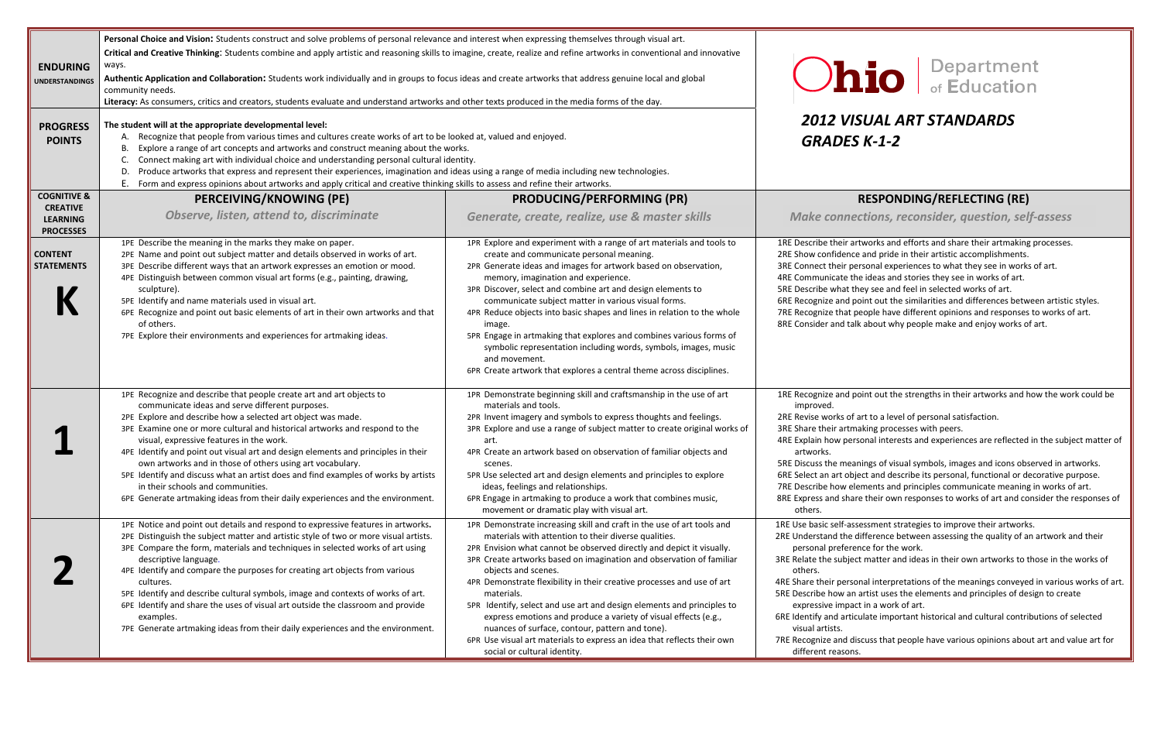### *VISUAL ART STANDARDS K‐1‐2*

### **PRODUCING/PERFORMING (PR) RESPONDING/REFLECTING (RE)**

- works of art to <sup>a</sup> level of personal satisfaction.
	- aking processes with peers.
	- sonal interests and experiences are reflected in the subject matter of
	- nings of visual symbols, images and icons observed in artworks. ect and describe its personal, functional or decorative purpose. ements and principles communicate meaning in works of art. re their own responses to works of art and consider the responses of

sessment strategies to improve their artworks.

- difference between assessing the quality of an artwork and their nce for the work.
- ct matter and ideas in their own artworks to those in the works of
- onal interpretations of the meanings conveyed in various works of art. artist uses the elements and principles of design to create ct in a work of art.
- Iulate important historical and cultural contributions of selected

scuss that people have various opinions about art and value art for

| <b>ENDURING</b><br><b>UNDERSTANDINGS</b>  | Personal Choice and Vision: Students construct and solve problems of personal relevance and interest when expressing themselves through visual art.<br>Critical and Creative Thinking: Students combine and apply artistic and reasoning skills to imagine, create, realize and refine artworks in conventional and innovative<br>ways.<br>Authentic Application and Collaboration: Students work individually and in groups to focus ideas and create artworks that address genuine local and global<br>community needs.<br>Literacy: As consumers, critics and creators, students evaluate and understand artworks and other texts produced in the media forms of the day.      |                                                                                                                                                                                                                                                                                                                                                                                                                                                                                                                                                                                                                                                                                                           |                                                                                                                                                                                                                                                                               |
|-------------------------------------------|-----------------------------------------------------------------------------------------------------------------------------------------------------------------------------------------------------------------------------------------------------------------------------------------------------------------------------------------------------------------------------------------------------------------------------------------------------------------------------------------------------------------------------------------------------------------------------------------------------------------------------------------------------------------------------------|-----------------------------------------------------------------------------------------------------------------------------------------------------------------------------------------------------------------------------------------------------------------------------------------------------------------------------------------------------------------------------------------------------------------------------------------------------------------------------------------------------------------------------------------------------------------------------------------------------------------------------------------------------------------------------------------------------------|-------------------------------------------------------------------------------------------------------------------------------------------------------------------------------------------------------------------------------------------------------------------------------|
| <b>PROGRESS</b><br><b>POINTS</b>          | The student will at the appropriate developmental level:<br>A. Recognize that people from various times and cultures create works of art to be looked at, valued and enjoyed.<br>Explore a range of art concepts and artworks and construct meaning about the works.<br>Connect making art with individual choice and understanding personal cultural identity.<br>Produce artworks that express and represent their experiences, imagination and ideas using a range of media including new technologies.<br>D.<br>Form and express opinions about artworks and apply critical and creative thinking skills to assess and refine their artworks.                                 |                                                                                                                                                                                                                                                                                                                                                                                                                                                                                                                                                                                                                                                                                                           | <b>2012 VIS</b><br><b>GRADES</b>                                                                                                                                                                                                                                              |
| <b>COGNITIVE &amp;</b><br><b>CREATIVE</b> | <b>PERCEIVING/KNOWING (PE)</b>                                                                                                                                                                                                                                                                                                                                                                                                                                                                                                                                                                                                                                                    | <b>PRODUCING/PERFORMING (PR)</b>                                                                                                                                                                                                                                                                                                                                                                                                                                                                                                                                                                                                                                                                          |                                                                                                                                                                                                                                                                               |
| <b>LEARNING</b><br><b>PROCESSES</b>       | Observe, listen, attend to, discriminate                                                                                                                                                                                                                                                                                                                                                                                                                                                                                                                                                                                                                                          | Generate, create, realize, use & master skills                                                                                                                                                                                                                                                                                                                                                                                                                                                                                                                                                                                                                                                            | <b>Make conner</b>                                                                                                                                                                                                                                                            |
| <b>CONTENT</b><br><b>STATEMENTS</b>       | 1PE Describe the meaning in the marks they make on paper.<br>2PE Name and point out subject matter and details observed in works of art.<br>3PE Describe different ways that an artwork expresses an emotion or mood.<br>4PE Distinguish between common visual art forms (e.g., painting, drawing,<br>sculpture).<br>5PE Identify and name materials used in visual art.<br>6PE Recognize and point out basic elements of art in their own artworks and that<br>of others.<br>7PE Explore their environments and experiences for artmaking ideas.                                                                                                                                 | 1PR Explore and experiment with a range of art materials and tools to<br>create and communicate personal meaning.<br>2PR Generate ideas and images for artwork based on observation,<br>memory, imagination and experience.<br>3PR Discover, select and combine art and design elements to<br>communicate subject matter in various visual forms.<br>4PR Reduce objects into basic shapes and lines in relation to the whole<br>image.<br>5PR Engage in artmaking that explores and combines various forms of<br>symbolic representation including words, symbols, images, music<br>and movement.<br>6PR Create artwork that explores a central theme across disciplines.                                 | 1RE Describe their art<br>2RE Show confidence<br>3RE Connect their per<br>4RE Communicate the<br>5RE Describe what th<br>6RE Recognize and po<br>7RE Recognize that po<br>8RE Consider and talk                                                                               |
|                                           | 1PE Recognize and describe that people create art and art objects to<br>communicate ideas and serve different purposes.<br>2PE Explore and describe how a selected art object was made.<br>3PE Examine one or more cultural and historical artworks and respond to the<br>visual, expressive features in the work.<br>4PE Identify and point out visual art and design elements and principles in their<br>own artworks and in those of others using art vocabulary.<br>5PE Identify and discuss what an artist does and find examples of works by artists<br>in their schools and communities.<br>6PE Generate artmaking ideas from their daily experiences and the environment. | 1PR Demonstrate beginning skill and craftsmanship in the use of art<br>materials and tools.<br>2PR Invent imagery and symbols to express thoughts and feelings.<br>3PR Explore and use a range of subject matter to create original works of<br>art.<br>4PR Create an artwork based on observation of familiar objects and<br>scenes.<br>5PR Use selected art and design elements and principles to explore<br>ideas, feelings and relationships.<br>6PR Engage in artmaking to produce a work that combines music,<br>movement or dramatic play with visual art.                                                                                                                                         | 1RE Recognize and po<br>improved.<br>2RE Revise works of a<br>3RE Share their artma<br>4RE Explain how pers<br>artworks.<br>5RE Discuss the mear<br>6RE Select an art obje<br>7RE Describe how ele<br>8RE Express and share<br>others.                                        |
|                                           | 1PE Notice and point out details and respond to expressive features in artworks.<br>2PE Distinguish the subject matter and artistic style of two or more visual artists.<br>3PE Compare the form, materials and techniques in selected works of art using<br>descriptive language.<br>4PE Identify and compare the purposes for creating art objects from various<br>cultures.<br>5PE Identify and describe cultural symbols, image and contexts of works of art.<br>6PE Identify and share the uses of visual art outside the classroom and provide<br>examples.<br>7PE Generate artmaking ideas from their daily experiences and the environment.                               | 1PR Demonstrate increasing skill and craft in the use of art tools and<br>materials with attention to their diverse qualities.<br>2PR Envision what cannot be observed directly and depict it visually.<br>3PR Create artworks based on imagination and observation of familiar<br>objects and scenes.<br>4PR Demonstrate flexibility in their creative processes and use of art<br>materials.<br>5PR Identify, select and use art and design elements and principles to<br>express emotions and produce a variety of visual effects (e.g.,<br>nuances of surface, contour, pattern and tone).<br>6PR Use visual art materials to express an idea that reflects their own<br>social or cultural identity. | 1RE Use basic self-ass<br>2RE Understand the d<br>personal preferer<br>3RE Relate the subject<br>others.<br>4RE Share their persor<br>5RE Describe how an a<br>expressive impact<br>6RE Identify and articu<br>visual artists.<br>7RE Recognize and dis<br>different reasons. |

## **Lio** Bepartment

*Generate, create, realize, use & master skills Make connections, reconsider, question, self‐assess*

- e their artworks and efforts and share their artmaking processes.
	- e and pride in their artistic accomplishments.
	- ersonal experiences to what they see in works of art.
	- e the ideas and stories they see in works of art.
	- ney see and feel in selected works of art.
	- oint out the similarities and differences between artistic styles.
	- eople have different opinions and responses to works of art.
	- Ik about why people make and enjoy works of art.

oint out the strengths in their artworks and how the work could be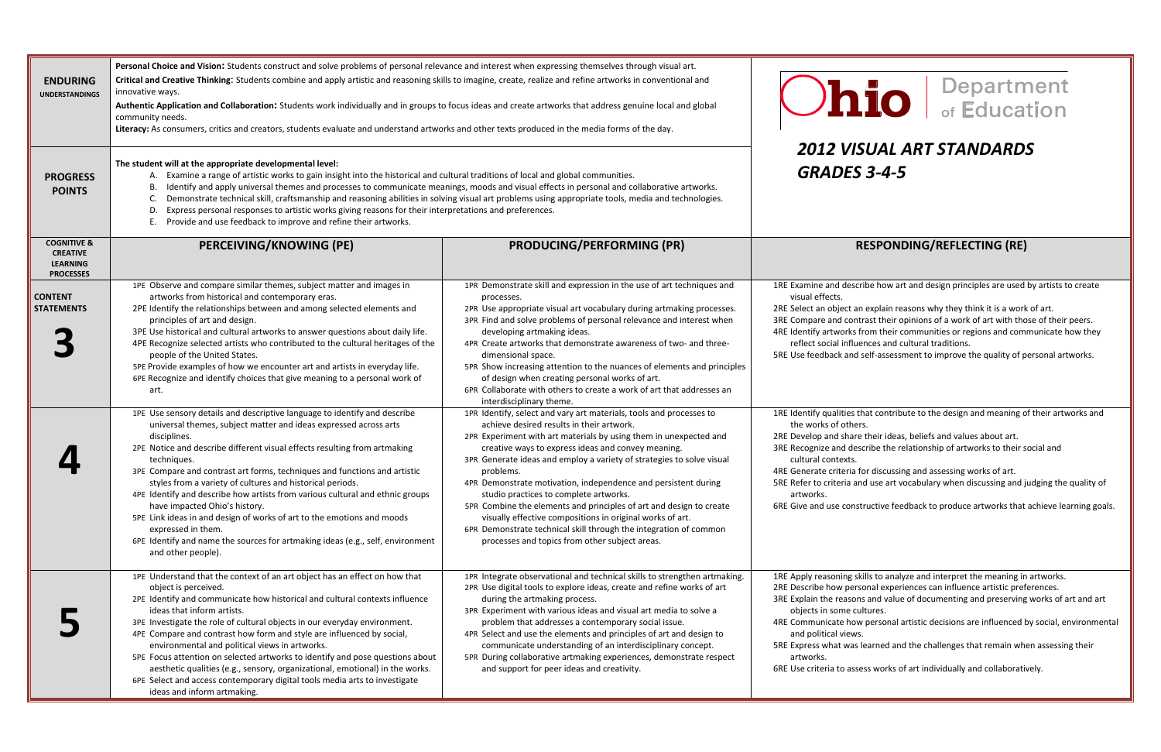## *VISUAL ART STANDARDS*

#### **PERCEIVING/KNOWING (PE) PRODUCING/PERFORMING (PR) RESPONDING/REFLECTING (RE)**

d describe how art and design principles are used by artists to create

- an explain reasons why they think it is a work of art.
- ontrast their opinions of a work of art with those of their peers.
- Is from their communities or regions and communicate how they t social influences and cultural traditions.
- feedback and self‐assessment to improve the quality of personal artworks.

If that contribute to the design and meaning of their artworks and hers.

- are their ideas, beliefs and values about art.
- lescribe the relationship of artworks to their social and
- 
- a for discussing and assessing works of art.
- and use art vocabulary when discussing and judging the quality of

d use constructive feedback to produce artworks that achieve learning goals.

skills to analyze and interpret the meaning in artworks.

- ersonal experiences can influence artistic preferences.
- ons and value of documenting and preserving works of art and art cultures.
- e how personal artistic decisions are influenced by social, environmental ws.
- as learned and the challenges that remain when assessing their

ssess works of art individually and collaboratively.

| <b>ENDURING</b><br><b>UNDERSTANDINGS</b>                                         | Personal Choice and Vision: Students construct and solve problems of personal relevance and interest when expressing themselves through visual art.<br>Critical and Creative Thinking: Students combine and apply artistic and reasoning skills to imagine, create, realize and refine artworks in conventional and<br>innovative ways.<br>Authentic Application and Collaboration: Students work individually and in groups to focus ideas and create artworks that address genuine local and global<br>community needs.<br>Literacy: As consumers, critics and creators, students evaluate and understand artworks and other texts produced in the media forms of the day.                                                  |                                                                                                                                                                                                                                                                                                                                                                                                                                                                                                                                                                                                                                                                                                          | <u>Ohio</u>                                                                                                                                                                                                                                                                                   |  |
|----------------------------------------------------------------------------------|-------------------------------------------------------------------------------------------------------------------------------------------------------------------------------------------------------------------------------------------------------------------------------------------------------------------------------------------------------------------------------------------------------------------------------------------------------------------------------------------------------------------------------------------------------------------------------------------------------------------------------------------------------------------------------------------------------------------------------|----------------------------------------------------------------------------------------------------------------------------------------------------------------------------------------------------------------------------------------------------------------------------------------------------------------------------------------------------------------------------------------------------------------------------------------------------------------------------------------------------------------------------------------------------------------------------------------------------------------------------------------------------------------------------------------------------------|-----------------------------------------------------------------------------------------------------------------------------------------------------------------------------------------------------------------------------------------------------------------------------------------------|--|
| <b>PROGRESS</b><br><b>POINTS</b>                                                 | The student will at the appropriate developmental level:<br>Examine a range of artistic works to gain insight into the historical and cultural traditions of local and global communities.<br>А.<br>Identify and apply universal themes and processes to communicate meanings, moods and visual effects in personal and collaborative artworks.<br>В.<br>Demonstrate technical skill, craftsmanship and reasoning abilities in solving visual art problems using appropriate tools, media and technologies.<br>C.<br>Express personal responses to artistic works giving reasons for their interpretations and preferences.<br>D<br>Provide and use feedback to improve and refine their artworks.<br>E                       |                                                                                                                                                                                                                                                                                                                                                                                                                                                                                                                                                                                                                                                                                                          | <b>2012 VISUAL /</b><br><b>GRADES 3-4-5</b>                                                                                                                                                                                                                                                   |  |
| <b>COGNITIVE &amp;</b><br><b>CREATIVE</b><br><b>LEARNING</b><br><b>PROCESSES</b> | PERCEIVING/KNOWING (PE)                                                                                                                                                                                                                                                                                                                                                                                                                                                                                                                                                                                                                                                                                                       | <b>PRODUCING/PERFORMING (PR)</b>                                                                                                                                                                                                                                                                                                                                                                                                                                                                                                                                                                                                                                                                         | <b>RESPOND</b>                                                                                                                                                                                                                                                                                |  |
| <b>CONTENT</b><br><b>STATEMENTS</b>                                              | 1PE Observe and compare similar themes, subject matter and images in<br>artworks from historical and contemporary eras.<br>2PE Identify the relationships between and among selected elements and<br>principles of art and design.<br>3PE Use historical and cultural artworks to answer questions about daily life.<br>4PE Recognize selected artists who contributed to the cultural heritages of the<br>people of the United States.<br>5PE Provide examples of how we encounter art and artists in everyday life.<br>6PE Recognize and identify choices that give meaning to a personal work of<br>art.                                                                                                                   | 1PR Demonstrate skill and expression in the use of art techniques and<br>processes.<br>2PR Use appropriate visual art vocabulary during artmaking processes.<br>3PR Find and solve problems of personal relevance and interest when<br>developing artmaking ideas.<br>4PR Create artworks that demonstrate awareness of two- and three-<br>dimensional space.<br>5PR Show increasing attention to the nuances of elements and principles<br>of design when creating personal works of art.<br>6PR Collaborate with others to create a work of art that addresses an<br>interdisciplinary theme.                                                                                                          | 1RE Examine and describe how art<br>visual effects.<br>2RE Select an object an explain rea<br>3RE Compare and contrast their of<br>4RE Identify artworks from their co<br>reflect social influences and co<br>5RE Use feedback and self-assessn                                               |  |
|                                                                                  | 1PE Use sensory details and descriptive language to identify and describe<br>universal themes, subject matter and ideas expressed across arts<br>disciplines.<br>2PE Notice and describe different visual effects resulting from artmaking<br>techniques.<br>3PE Compare and contrast art forms, techniques and functions and artistic<br>styles from a variety of cultures and historical periods.<br>4PE Identify and describe how artists from various cultural and ethnic groups<br>have impacted Ohio's history.<br>5PE Link ideas in and design of works of art to the emotions and moods<br>expressed in them.<br>6PE Identify and name the sources for artmaking ideas (e.g., self, environment<br>and other people). | 1PR Identify, select and vary art materials, tools and processes to<br>achieve desired results in their artwork.<br>2PR Experiment with art materials by using them in unexpected and<br>creative ways to express ideas and convey meaning.<br>3PR Generate ideas and employ a variety of strategies to solve visual<br>problems.<br>4PR Demonstrate motivation, independence and persistent during<br>studio practices to complete artworks.<br>5PR Combine the elements and principles of art and design to create<br>visually effective compositions in original works of art.<br>6PR Demonstrate technical skill through the integration of common<br>processes and topics from other subject areas. | 1RE Identify qualities that contribu<br>the works of others.<br>2RE Develop and share their ideas<br>3RE Recognize and describe the re<br>cultural contexts.<br>4RE Generate criteria for discussin<br>5RE Refer to criteria and use art vo<br>artworks.<br>6RE Give and use constructive fee |  |
|                                                                                  | 1PE Understand that the context of an art object has an effect on how that<br>object is perceived.<br>2PE Identify and communicate how historical and cultural contexts influence<br>ideas that inform artists.<br>3PE Investigate the role of cultural objects in our everyday environment.<br>4PE Compare and contrast how form and style are influenced by social,<br>environmental and political views in artworks.<br>5PE Focus attention on selected artworks to identify and pose questions about<br>aesthetic qualities (e.g., sensory, organizational, emotional) in the works.<br>6PE Select and access contemporary digital tools media arts to investigate<br>ideas and inform artmaking.                         | 1PR Integrate observational and technical skills to strengthen artmaking.<br>2PR Use digital tools to explore ideas, create and refine works of art<br>during the artmaking process.<br>3PR Experiment with various ideas and visual art media to solve a<br>problem that addresses a contemporary social issue.<br>4PR Select and use the elements and principles of art and design to<br>communicate understanding of an interdisciplinary concept.<br>5PR During collaborative artmaking experiences, demonstrate respect<br>and support for peer ideas and creativity.                                                                                                                               | 1RE Apply reasoning skills to analy<br>2RE Describe how personal experi<br>3RE Explain the reasons and value<br>objects in some cultures.<br>4RE Communicate how personal a<br>and political views.<br>5RE Express what was learned and<br>artworks.<br>6RE Use criteria to assess works of   |  |

# **LO** | Department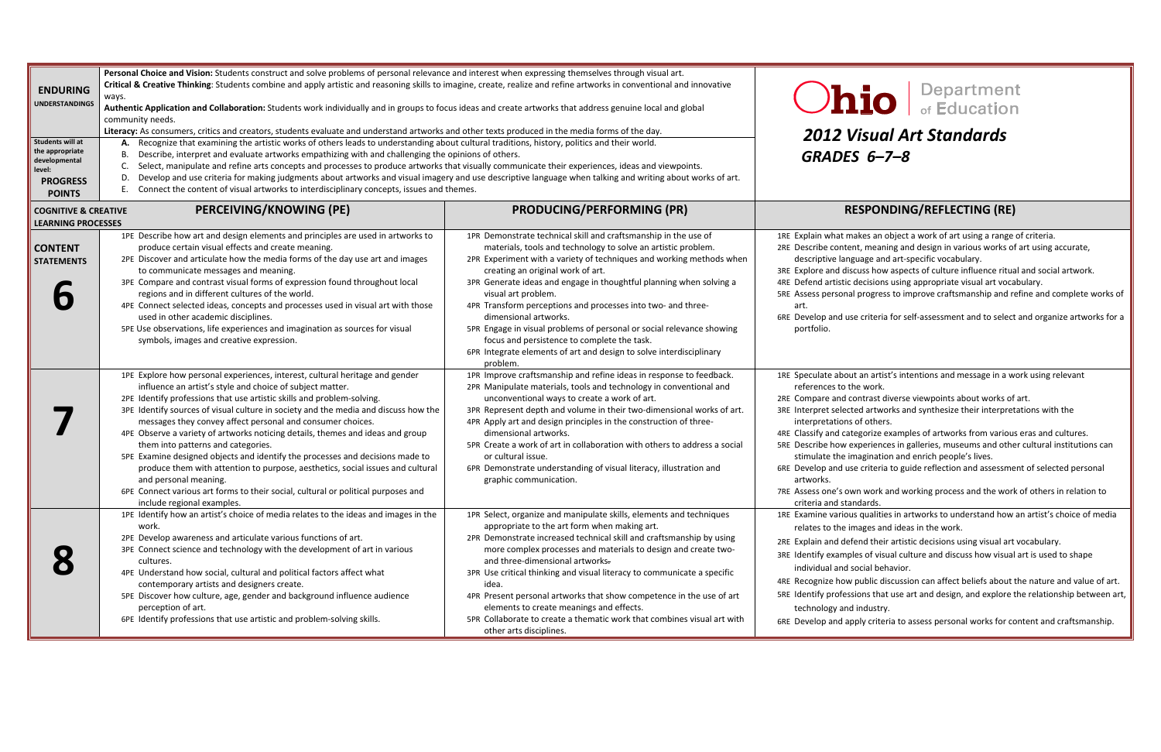### *Visual Art Standards GRADES 6–7–8*

#### **PRODUCING/PERFORMING (PR) RESPONDING/REFLECTING (RE)**

- akes an object a work of art using a range of criteria.
- ent, meaning and design in various works of art using accurate,
- guage and art-specific vocabulary.
- scuss how aspects of culture influence ritual and social artwork.
- decisions using appropriate visual art vocabulary.
- I progress to improve craftsmanship and refine and complete works of

se criteria for self-assessment and to select and organize artworks for a

- ut an artist's intentions and message in a work using relevant he work.
- contrast diverse viewpoints about works of art.
- ted artworks and synthesize their interpretations with the s of others.
- tegorize examples of artworks from various eras and cultures.
- experiences in galleries, museums and other cultural institutions can magination and enrich people's lives.
- se criteria to guide reflection and assessment of selected personal
- Assess one's own work and working process and the work of others in relation to standards.
	- us qualities in artworks to understand how an artist's choice of media mages and ideas in the work.
	- fend their artistic decisions using visual art vocabulary.
	- les of visual culture and discuss how visual art is used to shape social behavior.
	- public discussion can affect beliefs about the nature and value of art.
	- sions that use art and design, and explore the relationship between art, industry.
	- pply criteria to assess personal works for content and craftsmanship.

| <b>ENDURING</b><br><b>UNDERSTANDINGS</b><br>Students will at<br>the appropriate<br>developmental<br>level:<br><b>PROGRESS</b><br><b>POINTS</b> | Personal Choice and Vision: Students construct and solve problems of personal relevance and interest when expressing themselves through visual art.<br>Critical & Creative Thinking: Students combine and apply artistic and reasoning skills to imagine, create, realize and refine artworks in conventional and innovative<br>ways.<br>Authentic Application and Collaboration: Students work individually and in groups to focus ideas and create artworks that address genuine local and global<br>community needs.<br>Literacy: As consumers, critics and creators, students evaluate and understand artworks and other texts produced in the media forms of the day.<br>A. Recognize that examining the artistic works of others leads to understanding about cultural traditions, history, politics and their world.<br>Describe, interpret and evaluate artworks empathizing with and challenging the opinions of others.<br>В.<br>Select, manipulate and refine arts concepts and processes to produce artworks that visually communicate their experiences, ideas and viewpoints.<br>C.<br>Develop and use criteria for making judgments about artworks and visual imagery and use descriptive language when talking and writing about works of art.<br>D.<br>Connect the content of visual artworks to interdisciplinary concepts, issues and themes.<br>Е. |                                                                                                                                                                                                                                                                                                                                                                                                                                                                                                                                                                                                                                                 | 2012V<br><b>GRADE</b>                                                                                                                                                                                                                                  |
|------------------------------------------------------------------------------------------------------------------------------------------------|------------------------------------------------------------------------------------------------------------------------------------------------------------------------------------------------------------------------------------------------------------------------------------------------------------------------------------------------------------------------------------------------------------------------------------------------------------------------------------------------------------------------------------------------------------------------------------------------------------------------------------------------------------------------------------------------------------------------------------------------------------------------------------------------------------------------------------------------------------------------------------------------------------------------------------------------------------------------------------------------------------------------------------------------------------------------------------------------------------------------------------------------------------------------------------------------------------------------------------------------------------------------------------------------------------------------------------------------------------------------|-------------------------------------------------------------------------------------------------------------------------------------------------------------------------------------------------------------------------------------------------------------------------------------------------------------------------------------------------------------------------------------------------------------------------------------------------------------------------------------------------------------------------------------------------------------------------------------------------------------------------------------------------|--------------------------------------------------------------------------------------------------------------------------------------------------------------------------------------------------------------------------------------------------------|
| <b>COGNITIVE &amp; CREATIVE</b><br><b>LEARNING PROCESSES</b>                                                                                   | PERCEIVING/KNOWING (PE)                                                                                                                                                                                                                                                                                                                                                                                                                                                                                                                                                                                                                                                                                                                                                                                                                                                                                                                                                                                                                                                                                                                                                                                                                                                                                                                                                | <b>PRODUCING/PERFORMING (PR)</b>                                                                                                                                                                                                                                                                                                                                                                                                                                                                                                                                                                                                                | R                                                                                                                                                                                                                                                      |
| <b>CONTENT</b><br><b>STATEMENTS</b>                                                                                                            | 1PE Describe how art and design elements and principles are used in artworks to<br>produce certain visual effects and create meaning.<br>2PE Discover and articulate how the media forms of the day use art and images<br>to communicate messages and meaning.<br>3PE Compare and contrast visual forms of expression found throughout local<br>regions and in different cultures of the world.<br>4PE Connect selected ideas, concepts and processes used in visual art with those<br>used in other academic disciplines.<br>5PE Use observations, life experiences and imagination as sources for visual<br>symbols, images and creative expression.                                                                                                                                                                                                                                                                                                                                                                                                                                                                                                                                                                                                                                                                                                                 | 1PR Demonstrate technical skill and craftsmanship in the use of<br>materials, tools and technology to solve an artistic problem.<br>2PR Experiment with a variety of techniques and working methods when<br>creating an original work of art.<br>3PR Generate ideas and engage in thoughtful planning when solving a<br>visual art problem.<br>4PR Transform perceptions and processes into two- and three-<br>dimensional artworks.<br>5PR Engage in visual problems of personal or social relevance showing<br>focus and persistence to complete the task.<br>6PR Integrate elements of art and design to solve interdisciplinary<br>problem. | 1RE Explain what m<br>2RE Describe conter<br>descriptive lang<br>3RE Explore and dis<br>4RE Defend artistic<br>5RE Assess persona<br>art.<br>6RE Develop and us<br>portfolio.                                                                          |
|                                                                                                                                                | 1PE Explore how personal experiences, interest, cultural heritage and gender<br>influence an artist's style and choice of subject matter.<br>2PE Identify professions that use artistic skills and problem-solving.<br>3PE Identify sources of visual culture in society and the media and discuss how the<br>messages they convey affect personal and consumer choices.<br>4PE Observe a variety of artworks noticing details, themes and ideas and group<br>them into patterns and categories.<br>5PE Examine designed objects and identify the processes and decisions made to<br>produce them with attention to purpose, aesthetics, social issues and cultural<br>and personal meaning.<br>6PE Connect various art forms to their social, cultural or political purposes and<br>include regional examples.                                                                                                                                                                                                                                                                                                                                                                                                                                                                                                                                                        | 1PR Improve craftsmanship and refine ideas in response to feedback.<br>2PR Manipulate materials, tools and technology in conventional and<br>unconventional ways to create a work of art.<br>3PR Represent depth and volume in their two-dimensional works of art.<br>4PR Apply art and design principles in the construction of three-<br>dimensional artworks.<br>5PR Create a work of art in collaboration with others to address a social<br>or cultural issue.<br>6PR Demonstrate understanding of visual literacy, illustration and<br>graphic communication.                                                                             | 1RE Speculate abou<br>references to tl<br>2RE Compare and c<br>3RE Interpret select<br>interpretations<br>4RE Classify and cat<br>5RE Describe how e<br>stimulate the ir<br>6RE Develop and us<br>artworks.<br>7RE Assess one's ov<br>criteria and sta |
|                                                                                                                                                | 1PE Identify how an artist's choice of media relates to the ideas and images in the<br>work.<br>2PE Develop awareness and articulate various functions of art.<br>3PE Connect science and technology with the development of art in various<br>cultures.<br>4PE Understand how social, cultural and political factors affect what<br>contemporary artists and designers create.<br>5PE Discover how culture, age, gender and background influence audience<br>perception of art.<br>6PE Identify professions that use artistic and problem-solving skills.                                                                                                                                                                                                                                                                                                                                                                                                                                                                                                                                                                                                                                                                                                                                                                                                             | 1PR Select, organize and manipulate skills, elements and techniques<br>appropriate to the art form when making art.<br>2PR Demonstrate increased technical skill and craftsmanship by using<br>more complex processes and materials to design and create two-<br>and three-dimensional artworks.<br>3PR Use critical thinking and visual literacy to communicate a specific<br>idea.<br>4PR Present personal artworks that show competence in the use of art<br>elements to create meanings and effects.<br>5PR Collaborate to create a thematic work that combines visual art with<br>other arts disciplines.                                  | 1RE Examine variou<br>relates to the ir<br>2RE Explain and def<br>3RE Identify exampl<br>individual and s<br>4RE Recognize how<br>5RE Identify profess<br>technology and<br>6RE Develop and ap                                                         |

## **LO** Bepartment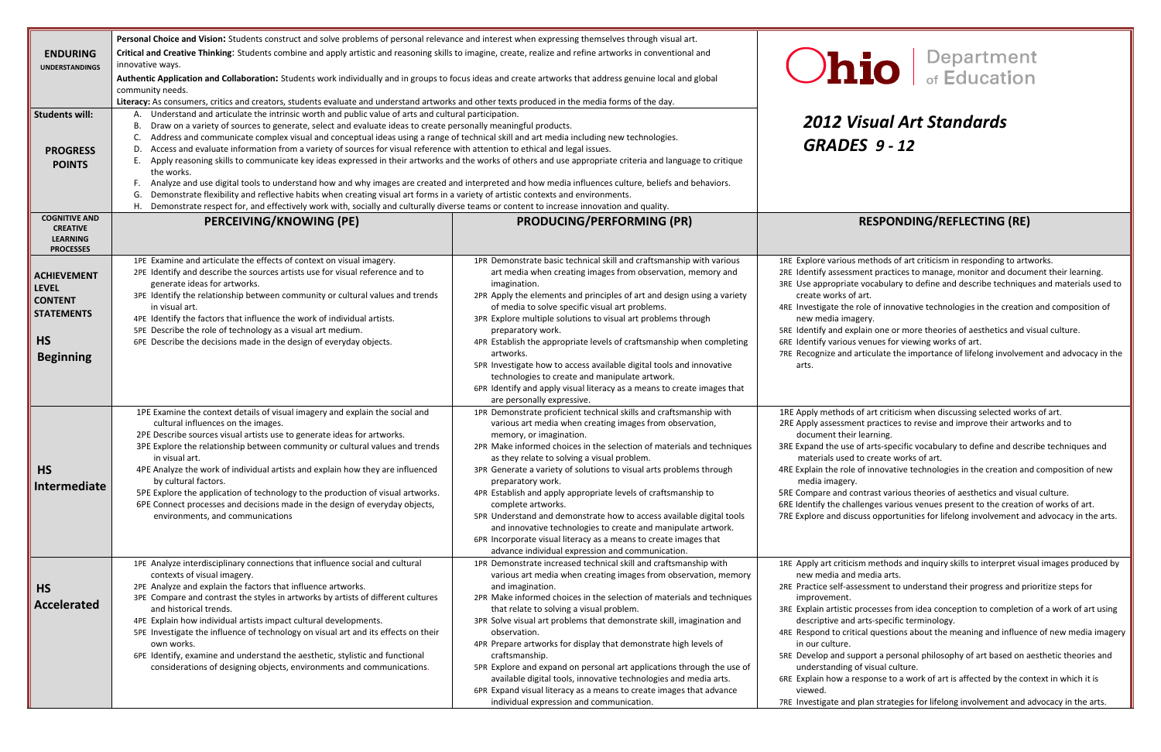### *Visual Art Standards GRADES 9 ‐ 12*

#### **PERCEIVING/KNOWING (PE) PRODUCING/PERFORMING (PR) RESPONDING/REFLECTING (RE)**

methods of art criticism in responding to artworks.

nent practices to manage, monitor and document their learning. vocabulary to define and describe techniques and materials used to

art.

role of innovative technologies in the creation and composition of gery.

Idain one or more theories of aesthetics and visual culture.

venues for viewing works of art.

articulate the importance of lifelong involvement and advocacy in the

of art criticism when discussing selected works of art.

nt practices to revise and improve their artworks and to learning.

of arts-specific vocabulary to define and describe techniques and d to create works of art.

of innovative technologies in the creation and composition of new

Intrast various theories of aesthetics and visual culture.

llenges various venues present to the creation of works of art.

cuss opportunities for lifelong involvement and advocacy in the arts.

am methods and inquiry skills to interpret visual images produced by media arts.

e self-assessment to understand their progress and prioritize steps for

processes from idea conception to completion of a work of art using arts-specific terminology.

cal questions about the meaning and influence of new media imagery

pport a personal philosophy of art based on aesthetic theories and of visual culture.

esponse to a work of art is affected by the context in which it is

plan strategies for lifelong involvement and advocacy in the arts.

| <b>ENDURING</b><br><b>UNDERSTANDINGS</b><br><b>Students will:</b><br><b>PROGRESS</b><br><b>POINTS</b>      | Personal Choice and Vision: Students construct and solve problems of personal relevance and interest when expressing themselves through visual art.<br>Critical and Creative Thinking: Students combine and apply artistic and reasoning skills to imagine, create, realize and refine artworks in conventional and<br>innovative ways.<br>Authentic Application and Collaboration: Students work individually and in groups to focus ideas and create artworks that address genuine local and global<br>community needs.<br>Literacy: As consumers, critics and creators, students evaluate and understand artworks and other texts produced in the media forms of the day.<br>Understand and articulate the intrinsic worth and public value of arts and cultural participation.<br>А.<br>Draw on a variety of sources to generate, select and evaluate ideas to create personally meaningful products.<br>В.<br>Address and communicate complex visual and conceptual ideas using a range of technical skill and art media including new technologies.<br>C.<br>Access and evaluate information from a variety of sources for visual reference with attention to ethical and legal issues.<br>D.<br>Apply reasoning skills to communicate key ideas expressed in their artworks and the works of others and use appropriate criteria and language to critique<br>Ε.<br>the works.<br>Analyze and use digital tools to understand how and why images are created and interpreted and how media influences culture, beliefs and behaviors.<br>F.<br>Demonstrate flexibility and reflective habits when creating visual art forms in a variety of artistic contexts and environments.<br>G.<br>Η.<br>Demonstrate respect for, and effectively work with, socially and culturally diverse teams or content to increase innovation and quality. |                                                                                                                                                                                                                                                                                                                                                                                                                                                                                                                                                                                                                                                                                                                                         | 2012 V<br><b>GRADE</b>                                                                                                                                                                                                                                                       |
|------------------------------------------------------------------------------------------------------------|-----------------------------------------------------------------------------------------------------------------------------------------------------------------------------------------------------------------------------------------------------------------------------------------------------------------------------------------------------------------------------------------------------------------------------------------------------------------------------------------------------------------------------------------------------------------------------------------------------------------------------------------------------------------------------------------------------------------------------------------------------------------------------------------------------------------------------------------------------------------------------------------------------------------------------------------------------------------------------------------------------------------------------------------------------------------------------------------------------------------------------------------------------------------------------------------------------------------------------------------------------------------------------------------------------------------------------------------------------------------------------------------------------------------------------------------------------------------------------------------------------------------------------------------------------------------------------------------------------------------------------------------------------------------------------------------------------------------------------------------------------------------------------------------------------------------------------------------------|-----------------------------------------------------------------------------------------------------------------------------------------------------------------------------------------------------------------------------------------------------------------------------------------------------------------------------------------------------------------------------------------------------------------------------------------------------------------------------------------------------------------------------------------------------------------------------------------------------------------------------------------------------------------------------------------------------------------------------------------|------------------------------------------------------------------------------------------------------------------------------------------------------------------------------------------------------------------------------------------------------------------------------|
| <b>COGNITIVE AND</b><br><b>CREATIVE</b><br><b>LEARNING</b><br><b>PROCESSES</b>                             | PERCEIVING/KNOWING (PE)                                                                                                                                                                                                                                                                                                                                                                                                                                                                                                                                                                                                                                                                                                                                                                                                                                                                                                                                                                                                                                                                                                                                                                                                                                                                                                                                                                                                                                                                                                                                                                                                                                                                                                                                                                                                                       | <b>PRODUCING/PERFORMING (PR)</b>                                                                                                                                                                                                                                                                                                                                                                                                                                                                                                                                                                                                                                                                                                        |                                                                                                                                                                                                                                                                              |
| <b>ACHIEVEMENT</b><br><b>LEVEL</b><br><b>CONTENT</b><br><b>STATEMENTS</b><br><b>HS</b><br><b>Beginning</b> | 1PE Examine and articulate the effects of context on visual imagery.<br>2PE Identify and describe the sources artists use for visual reference and to<br>generate ideas for artworks.<br>3PE Identify the relationship between community or cultural values and trends<br>in visual art.<br>4PE Identify the factors that influence the work of individual artists.<br>5PE Describe the role of technology as a visual art medium.<br>6PE Describe the decisions made in the design of everyday objects.                                                                                                                                                                                                                                                                                                                                                                                                                                                                                                                                                                                                                                                                                                                                                                                                                                                                                                                                                                                                                                                                                                                                                                                                                                                                                                                                      | 1PR Demonstrate basic technical skill and craftsmanship with various<br>art media when creating images from observation, memory and<br>imagination.<br>2PR Apply the elements and principles of art and design using a variety<br>of media to solve specific visual art problems.<br>3PR Explore multiple solutions to visual art problems through<br>preparatory work.<br>4PR Establish the appropriate levels of craftsmanship when completing<br>artworks.<br>5PR Investigate how to access available digital tools and innovative<br>technologies to create and manipulate artwork.<br>6PR Identify and apply visual literacy as a means to create images that<br>are personally expressive.                                        | 1RE Explore various<br>2RE Identify assessm<br>3RE Use appropriate<br>create works of<br>4RE Investigate the r<br>new media imag<br>5RE Identify and exp<br>6RE Identify various<br>7RE Recognize and a<br>arts.                                                             |
| <b>HS</b><br><b>Intermediate</b>                                                                           | 1PE Examine the context details of visual imagery and explain the social and<br>cultural influences on the images.<br>2PE Describe sources visual artists use to generate ideas for artworks.<br>3PE Explore the relationship between community or cultural values and trends<br>in visual art.<br>4PE Analyze the work of individual artists and explain how they are influenced<br>by cultural factors.<br>5PE Explore the application of technology to the production of visual artworks.<br>6PE Connect processes and decisions made in the design of everyday objects,<br>environments, and communications                                                                                                                                                                                                                                                                                                                                                                                                                                                                                                                                                                                                                                                                                                                                                                                                                                                                                                                                                                                                                                                                                                                                                                                                                               | 1PR Demonstrate proficient technical skills and craftsmanship with<br>various art media when creating images from observation,<br>memory, or imagination.<br>2PR Make informed choices in the selection of materials and techniques<br>as they relate to solving a visual problem.<br>3PR Generate a variety of solutions to visual arts problems through<br>preparatory work.<br>4PR Establish and apply appropriate levels of craftsmanship to<br>complete artworks.<br>5PR Understand and demonstrate how to access available digital tools<br>and innovative technologies to create and manipulate artwork.<br>6PR Incorporate visual literacy as a means to create images that<br>advance individual expression and communication. | 1RE Apply methods<br>2RE Apply assessmer<br>document their<br>3RE Expand the use<br>materials used t<br>4RE Explain the role<br>media imagery.<br>5RE Compare and co<br>6RE Identify the chal<br>7RE Explore and disc                                                        |
| <b>HS</b><br><b>Accelerated</b>                                                                            | 1PE Analyze interdisciplinary connections that influence social and cultural<br>contexts of visual imagery.<br>2PE Analyze and explain the factors that influence artworks.<br>3PE Compare and contrast the styles in artworks by artists of different cultures<br>and historical trends.<br>4PE Explain how individual artists impact cultural developments.<br>5PE Investigate the influence of technology on visual art and its effects on their<br>own works.<br>6PE Identify, examine and understand the aesthetic, stylistic and functional<br>considerations of designing objects, environments and communications.                                                                                                                                                                                                                                                                                                                                                                                                                                                                                                                                                                                                                                                                                                                                                                                                                                                                                                                                                                                                                                                                                                                                                                                                                    | 1PR Demonstrate increased technical skill and craftsmanship with<br>various art media when creating images from observation, memory<br>and imagination.<br>2PR Make informed choices in the selection of materials and techniques<br>that relate to solving a visual problem.<br>3PR Solve visual art problems that demonstrate skill, imagination and<br>observation.<br>4PR Prepare artworks for display that demonstrate high levels of<br>craftsmanship.<br>5PR Explore and expand on personal art applications through the use of<br>available digital tools, innovative technologies and media arts.<br>6PR Expand visual literacy as a means to create images that advance<br>individual expression and communication.           | 1RE Apply art criticis<br>new media and<br>2RE Practice self-ass<br>improvement.<br>3RE Explain artistic p<br>descriptive and<br>4RE Respond to criti<br>in our culture.<br>5RE Develop and sup<br>understanding c<br>6RE Explain how a re<br>viewed.<br>7RE Investigate and |

## **Department**<br>of Education  $\overline{\mathbf{io}}$   $\overline{\mathbf{I}}$